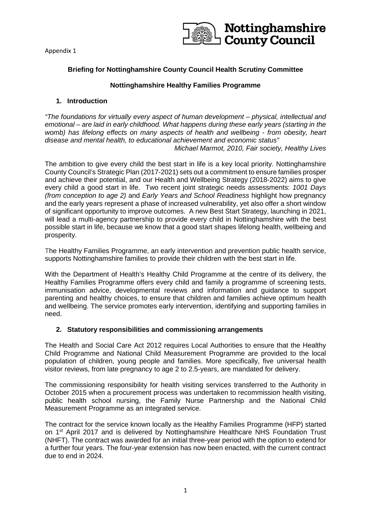

# **Briefing for Nottinghamshire County Council Health Scrutiny Committee**

# **Nottinghamshire Healthy Families Programme**

# **1. Introduction**

*"The foundations for virtually every aspect of human development – physical, intellectual and emotional – are laid in early childhood. What happens during these early years (starting in the womb) has lifelong effects on many aspects of health and wellbeing - from obesity, heart disease and mental health, to educational achievement and economic status" Michael Marmot, 2010, Fair society, Healthy Lives*

The ambition to give every child the best start in life is a key local priority. Nottinghamshire

County Council's Strategic Plan (2017-2021) sets out a commitment to ensure families prosper and achieve their potential, and our Health and Wellbeing Strategy (2018-2022) aims to give every child a good start in life. Two recent joint strategic needs assessments: *1001 Days (from conception to age 2)* and *Early Years and School Readiness* highlight how pregnancy and the early years represent a phase of increased vulnerability, yet also offer a short window of significant opportunity to improve outcomes. A new Best Start Strategy, launching in 2021, will lead a multi-agency partnership to provide every child in Nottinghamshire with the best possible start in life, because we know that a good start shapes lifelong health, wellbeing and prosperity.

The Healthy Families Programme, an early intervention and prevention public health service, supports Nottinghamshire families to provide their children with the best start in life.

With the Department of Health's Healthy Child Programme at the centre of its delivery, the Healthy Families Programme offers every child and family a programme of screening tests, immunisation advice, developmental reviews and information and guidance to support parenting and healthy choices, to ensure that children and families achieve optimum health and wellbeing. The service promotes early intervention, identifying and supporting families in need.

# **2. Statutory responsibilities and commissioning arrangements**

The Health and Social Care Act 2012 requires Local Authorities to ensure that the Healthy Child Programme and National Child Measurement Programme are provided to the local population of children, young people and families. More specifically, five universal health visitor reviews, from late pregnancy to age 2 to 2.5-years, are mandated for delivery.

The commissioning responsibility for health visiting services transferred to the Authority in October 2015 when a procurement process was undertaken to recommission health visiting, public health school nursing, the Family Nurse Partnership and the National Child Measurement Programme as an integrated service.

The contract for the service known locally as the Healthy Families Programme (HFP) started on 1st April 2017 and is delivered by Nottinghamshire Healthcare NHS Foundation Trust (NHFT). The contract was awarded for an initial three-year period with the option to extend for a further four years. The four-year extension has now been enacted, with the current contract due to end in 2024.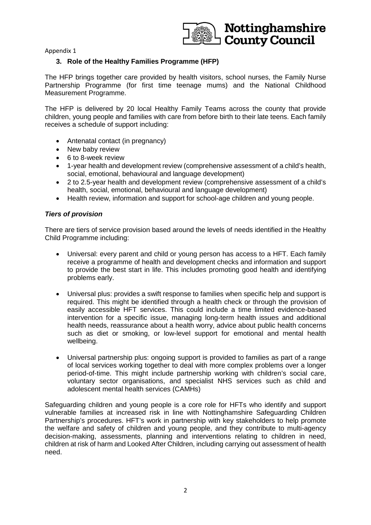

# **3. Role of the Healthy Families Programme (HFP)**

The HFP brings together care provided by health visitors, school nurses, the Family Nurse Partnership Programme (for first time teenage mums) and the National Childhood Measurement Programme.

The HFP is delivered by 20 local Healthy Family Teams across the county that provide children, young people and families with care from before birth to their late teens. Each family receives a schedule of support including:

- Antenatal contact (in pregnancy)
- New baby review
- 6 to 8-week review
- 1-year health and development review (comprehensive assessment of a child's health, social, emotional, behavioural and language development)
- 2 to 2.5-year health and development review (comprehensive assessment of a child's health, social, emotional, behavioural and language development)
- Health review, information and support for school-age children and young people.

# *Tiers of provision*

There are tiers of service provision based around the levels of needs identified in the Healthy Child Programme including:

- Universal: every parent and child or young person has access to a HFT. Each family receive a programme of health and development checks and information and support to provide the best start in life. This includes promoting good health and identifying problems early.
- Universal plus: provides a swift response to families when specific help and support is required. This might be identified through a health check or through the provision of easily accessible HFT services. This could include a time limited evidence-based intervention for a specific issue, managing long-term health issues and additional health needs, reassurance about a health worry, advice about public health concerns such as diet or smoking, or low-level support for emotional and mental health wellbeing.
- Universal partnership plus: ongoing support is provided to families as part of a range of local services working together to deal with more complex problems over a longer period-of-time. This might include partnership working with children's social care, voluntary sector organisations, and specialist NHS services such as child and adolescent mental health services (CAMHs)

Safeguarding children and young people is a core role for HFTs who identify and support vulnerable families at increased risk in line with Nottinghamshire Safeguarding Children Partnership's procedures. HFT's work in partnership with key stakeholders to help promote the welfare and safety of children and young people, and they contribute to multi-agency decision-making, assessments, planning and interventions relating to children in need, children at risk of harm and Looked After Children, including carrying out assessment of health need.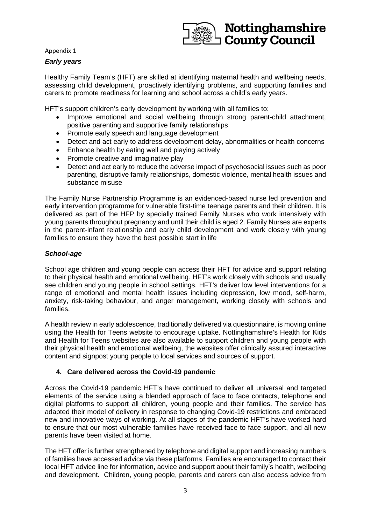

Nottinghamshire **County Council** 

Healthy Family Team's (HFT) are skilled at identifying maternal health and wellbeing needs, assessing child development, proactively identifying problems, and supporting families and carers to promote readiness for learning and school across a child's early years.

HFT's support children's early development by working with all families to:

- Improve emotional and social wellbeing through strong parent-child attachment, positive parenting and supportive family relationships
- Promote early speech and language development
- Detect and act early to address development delay, abnormalities or health concerns
- Enhance health by eating well and playing actively
- Promote creative and imaginative play
- Detect and act early to reduce the adverse impact of psychosocial issues such as poor parenting, disruptive family relationships, domestic violence, mental health issues and substance misuse

The Family Nurse Partnership Programme is an evidenced-based nurse led prevention and early intervention programme for vulnerable first-time teenage parents and their children. It is delivered as part of the HFP by specially trained Family Nurses who work intensively with young parents throughout pregnancy and until their child is aged 2. Family Nurses are experts in the parent-infant relationship and early child development and work closely with young families to ensure they have the best possible start in life

#### *School-age*

School age children and young people can access their HFT for advice and support relating to their physical health and emotional wellbeing. HFT's work closely with schools and usually see children and young people in school settings. HFT's deliver low level interventions for a range of emotional and mental health issues including depression, low mood, self-harm, anxiety, risk-taking behaviour, and anger management, working closely with schools and families.

A health review in early adolescence, traditionally delivered via questionnaire, is moving online using the Health for Teens website to encourage uptake. Nottinghamshire's Health for Kids and Health for Teens websites are also available to support children and young people with their physical health and emotional wellbeing, the websites offer clinically assured interactive content and signpost young people to local services and sources of support.

# **4. Care delivered across the Covid-19 pandemic**

Across the Covid-19 pandemic HFT's have continued to deliver all universal and targeted elements of the service using a blended approach of face to face contacts, telephone and digital platforms to support all children, young people and their families. The service has adapted their model of delivery in response to changing Covid-19 restrictions and embraced new and innovative ways of working. At all stages of the pandemic HFT's have worked hard to ensure that our most vulnerable families have received face to face support, and all new parents have been visited at home.

The HFT offer is further strengthened by telephone and digital support and increasing numbers of families have accessed advice via these platforms. Families are encouraged to contact their local HFT advice line for information, advice and support about their family's health, wellbeing and development. Children, young people, parents and carers can also access advice from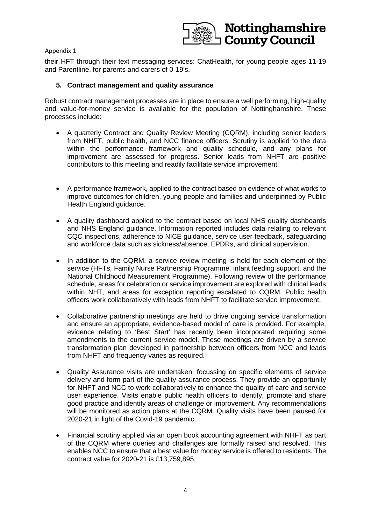



their HFT through their text messaging services: ChatHealth, for young people ages 11-19 and Parentline, for parents and carers of 0-19's.

# **5. Contract management and quality assurance**

Robust contract management processes are in place to ensure a well performing, high-quality and value-for-money service is available for the population of Nottinghamshire. These processes include:

- A quarterly Contract and Quality Review Meeting (CQRM), including senior leaders from NHFT, public health, and NCC finance officers. Scrutiny is applied to the data within the performance framework and quality schedule, and any plans for improvement are assessed for progress. Senior leads from NHFT are positive contributors to this meeting and readily facilitate service improvement.
- A performance framework, applied to the contract based on evidence of what works to improve outcomes for children, young people and families and underpinned by Public Health England guidance.
- A quality dashboard applied to the contract based on local NHS quality dashboards and NHS England guidance. Information reported includes data relating to relevant CQC inspections, adherence to NICE guidance, service user feedback, safeguarding and workforce data such as sickness/absence, EPDRs, and clinical supervision.
- In addition to the CQRM, a service review meeting is held for each element of the service (HFTs, Family Nurse Partnership Programme, infant feeding support, and the National Childhood Measurement Programme). Following review of the performance schedule, areas for celebration or service improvement are explored with clinical leads within NHT, and areas for exception reporting escalated to CQRM. Public health officers work collaboratively with leads from NHFT to facilitate service improvement.
- Collaborative partnership meetings are held to drive ongoing service transformation and ensure an appropriate, evidence-based model of care is provided. For example, evidence relating to 'Best Start' has recently been incorporated requiring some amendments to the current service model. These meetings are driven by a service transformation plan developed in partnership between officers from NCC and leads from NHFT and frequency varies as required.
- Quality Assurance visits are undertaken, focussing on specific elements of service delivery and form part of the quality assurance process. They provide an opportunity for NHFT and NCC to work collaboratively to enhance the quality of care and service user experience. Visits enable public health officers to identify, promote and share good practice and identify areas of challenge or improvement. Any recommendations will be monitored as action plans at the CQRM. Quality visits have been paused for 2020-21 in light of the Covid-19 pandemic.
- Financial scrutiny applied via an open book accounting agreement with NHFT as part of the CQRM where queries and challenges are formally raised and resolved. This enables NCC to ensure that a best value for money service is offered to residents. The contract value for 2020-21 is £13,759,895.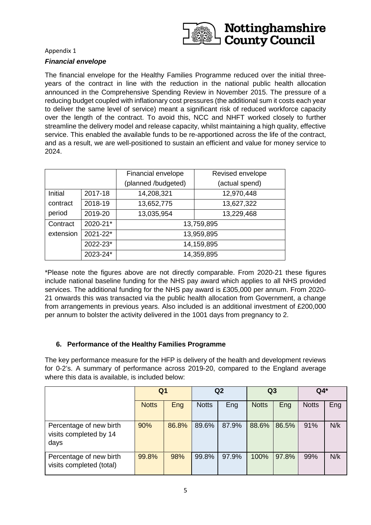

### *Financial envelope*

The financial envelope for the Healthy Families Programme reduced over the initial threeyears of the contract in line with the reduction in the national public health allocation announced in the Comprehensive Spending Review in November 2015. The pressure of a reducing budget coupled with inflationary cost pressures (the additional sum it costs each year to deliver the same level of service) meant a significant risk of reduced workforce capacity over the length of the contract. To avoid this, NCC and NHFT worked closely to further streamline the delivery model and release capacity, whilst maintaining a high quality, effective service. This enabled the available funds to be re-apportioned across the life of the contract, and as a result, we are well-positioned to sustain an efficient and value for money service to 2024.

|           |          | Financial envelope  | Revised envelope |  |  |  |  |
|-----------|----------|---------------------|------------------|--|--|--|--|
|           |          | (planned /budgeted) | (actual spend)   |  |  |  |  |
| Initial   | 2017-18  | 14,208,321          | 12,970,448       |  |  |  |  |
| contract  | 2018-19  | 13,652,775          | 13,627,322       |  |  |  |  |
| period    | 2019-20  | 13,035,954          | 13,229,468       |  |  |  |  |
| Contract  | 2020-21* | 13,759,895          |                  |  |  |  |  |
| extension | 2021-22* | 13,959,895          |                  |  |  |  |  |
|           | 2022-23* | 14,159,895          |                  |  |  |  |  |
|           | 2023-24* | 14,359,895          |                  |  |  |  |  |

\*Please note the figures above are not directly comparable. From 2020-21 these figures include national baseline funding for the NHS pay award which applies to all NHS provided services. The additional funding for the NHS pay award is £305,000 per annum. From 2020- 21 onwards this was transacted via the public health allocation from Government, a change from arrangements in previous years. Also included is an additional investment of £200,000 per annum to bolster the activity delivered in the 1001 days from pregnancy to 2.

# **6. Performance of the Healthy Families Programme**

The key performance measure for the HFP is delivery of the health and development reviews for 0-2's. A summary of performance across 2019-20, compared to the England average where this data is available, is included below:

|                                                           | Q <sub>1</sub> |       | Q <sub>2</sub> |       | Q3           |       | $Q4*$        |     |
|-----------------------------------------------------------|----------------|-------|----------------|-------|--------------|-------|--------------|-----|
|                                                           | <b>Notts</b>   | Eng   | <b>Notts</b>   | Eng   | <b>Notts</b> | Eng   | <b>Notts</b> | Eng |
| Percentage of new birth<br>visits completed by 14<br>days | 90%            | 86.8% | 89.6%          | 87.9% | 88.6%        | 86.5% | 91%          | N/k |
| Percentage of new birth<br>visits completed (total)       | 99.8%          | 98%   | 99.8%          | 97.9% | 100%         | 97.8% | 99%          | N/k |